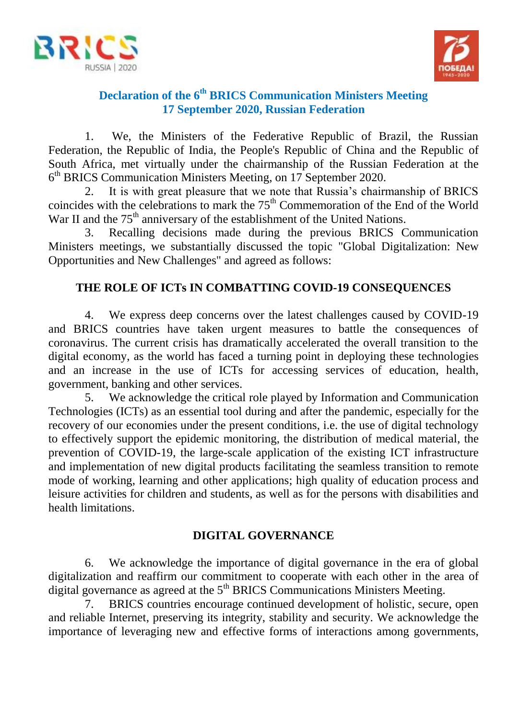



# **Declaration of the 6th BRICS Communication Ministers Meeting 17 September 2020, Russian Federation**

1. We, the Ministers of the Federative Republic of Brazil, the Russian Federation, the Republic of India, the People's Republic of China and the Republic of South Africa, met virtually under the chairmanship of the Russian Federation at the 6 th BRICS Communication Ministers Meeting, on 17 September 2020.

2. It is with great pleasure that we note that Russia's chairmanship of BRICS coincides with the celebrations to mark the  $75<sup>th</sup>$  Commemoration of the End of the World War II and the 75<sup>th</sup> anniversary of the establishment of the United Nations.

3. Recalling decisions made during the previous BRICS Communication Ministers meetings, we substantially discussed the topic "Global Digitalization: New Opportunities and New Challenges" and agreed as follows:

# **THE ROLE OF ICTs IN COMBATTING COVID-19 CONSEQUENCES**

4. We express deep concerns over the latest challenges caused by COVID-19 and BRICS countries have taken urgent measures to battle the consequences of coronavirus. The current crisis has dramatically accelerated the overall transition to the digital economy, as the world has faced a turning point in deploying these technologies and an increase in the use of ICTs for accessing services of education, health, government, banking and other services.

5. We acknowledge the critical role played by Information and Communication Technologies (ICTs) as an essential tool during and after the pandemic, especially for the recovery of our economies under the present conditions, i.e. the use of digital technology to effectively support the epidemic monitoring, the distribution of medical material, the prevention of COVID-19, the large-scale application of the existing ICT infrastructure and implementation of new digital products facilitating the seamless transition to remote mode of working, learning and other applications; high quality of education process and leisure activities for children and students, as well as for the persons with disabilities and health limitations.

# **DIGITAL GOVERNANCE**

6. We acknowledge the importance of digital governance in the era of global digitalization and reaffirm our commitment to cooperate with each other in the area of digital governance as agreed at the  $5<sup>th</sup> BRICS$  Communications Ministers Meeting.

7. BRICS countries encourage continued development of holistic, secure, open and reliable Internet, preserving its integrity, stability and security. We acknowledge the importance of leveraging new and effective forms of interactions among governments,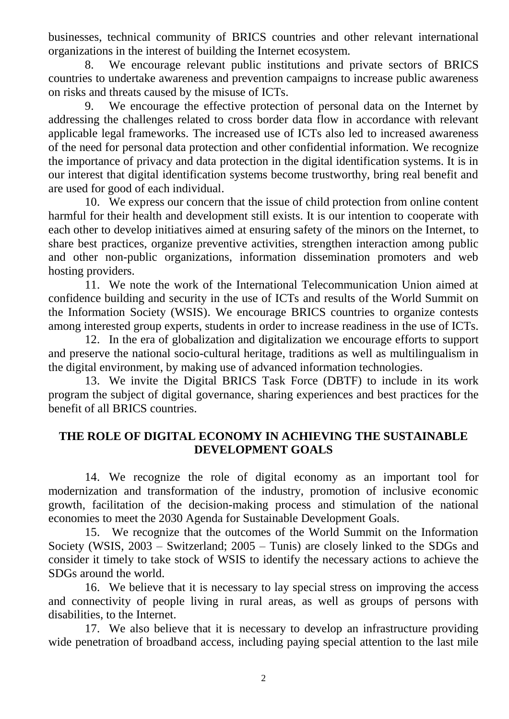businesses, technical community of BRICS countries and other relevant international organizations in the interest of building the Internet ecosystem.

8. We encourage relevant public institutions and private sectors of BRICS countries to undertake awareness and prevention campaigns to increase public awareness on risks and threats caused by the misuse of ICTs.

9. We encourage the effective protection of personal data on the Internet by addressing the challenges related to cross border data flow in accordance with relevant applicable legal frameworks. The increased use of ICTs also led to increased awareness of the need for personal data protection and other confidential information. We recognize the importance of privacy and data protection in the digital identification systems. It is in our interest that digital identification systems become trustworthy, bring real benefit and are used for good of each individual.

10. We express our concern that the issue of child protection from online content harmful for their health and development still exists. It is our intention to cooperate with each other to develop initiatives aimed at ensuring safety of the minors on the Internet, to share best practices, organize preventive activities, strengthen interaction among public and other non-public organizations, information dissemination promoters and web hosting providers.

11. We note the work of the International Telecommunication Union aimed at confidence building and security in the use of ICTs and results of the World Summit on the Information Society (WSIS). We encourage BRICS countries to organize contests among interested group experts, students in order to increase readiness in the use of ICTs.

12. In the era of globalization and digitalization we encourage efforts to support and preserve the national socio-cultural heritage, traditions as well as multilingualism in the digital environment, by making use of advanced information technologies.

13. We invite the Digital BRICS Task Force (DBTF) to include in its work program the subject of digital governance, sharing experiences and best practices for the benefit of all BRICS countries.

### **THE ROLE OF DIGITAL ECONOMY IN ACHIEVING THE SUSTAINABLE DEVELOPMENT GOALS**

14. We recognize the role of digital economy as an important tool for modernization and transformation of the industry, promotion of inclusive economic growth, facilitation of the decision-making process and stimulation of the national economies to meet the 2030 Agenda for Sustainable Development Goals.

15. We recognize that the outcomes of the World Summit on the Information Society (WSIS, 2003 – Switzerland; 2005 – Tunis) are closely linked to the SDGs and consider it timely to take stock of WSIS to identify the necessary actions to achieve the SDGs around the world.

16. We believe that it is necessary to lay special stress on improving the access and connectivity of people living in rural areas, as well as groups of persons with disabilities, to the Internet.

17. We also believe that it is necessary to develop an infrastructure providing wide penetration of broadband access, including paying special attention to the last mile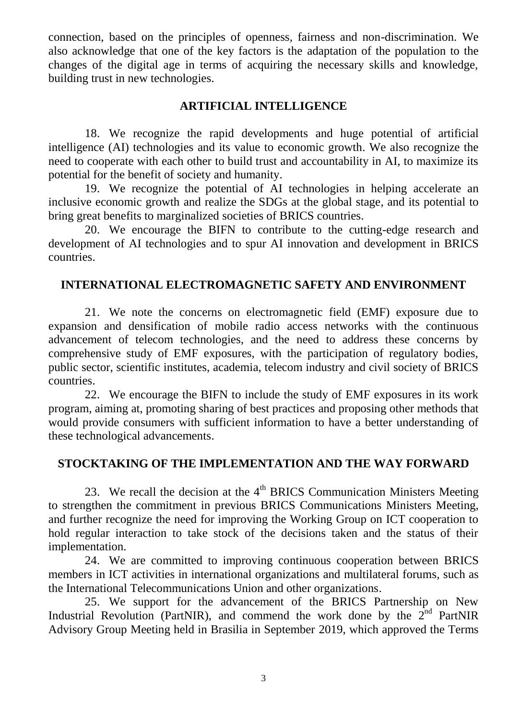connection, based on the principles of openness, fairness and non-discrimination. We also acknowledge that one of the key factors is the adaptation of the population to the changes of the digital age in terms of acquiring the necessary skills and knowledge, building trust in new technologies.

### **ARTIFICIAL INTELLIGENCE**

18. We recognize the rapid developments and huge potential of artificial intelligence (AI) technologies and its value to economic growth. We also recognize the need to cooperate with each other to build trust and accountability in AI, to maximize its potential for the benefit of society and humanity.

19. We recognize the potential of AI technologies in helping accelerate an inclusive economic growth and realize the SDGs at the global stage, and its potential to bring great benefits to marginalized societies of BRICS countries.

20. We encourage the BIFN to contribute to the cutting-edge research and development of AI technologies and to spur AI innovation and development in BRICS countries.

# **INTERNATIONAL ELECTROMAGNETIC SAFETY AND ENVIRONMENT**

21. We note the concerns on electromagnetic field (EMF) exposure due to expansion and densification of mobile radio access networks with the continuous advancement of telecom technologies, and the need to address these concerns by comprehensive study of EMF exposures, with the participation of regulatory bodies, public sector, scientific institutes, academia, telecom industry and civil society of BRICS countries.

22. We encourage the BIFN to include the study of EMF exposures in its work program, aiming at, promoting sharing of best practices and proposing other methods that would provide consumers with sufficient information to have a better understanding of these technological advancements.

### **STOCKTAKING OF THE IMPLEMENTATION AND THE WAY FORWARD**

23. We recall the decision at the  $4<sup>th</sup>$  BRICS Communication Ministers Meeting to strengthen the commitment in previous BRICS Communications Ministers Meeting, and further recognize the need for improving the Working Group on ICT cooperation to hold regular interaction to take stock of the decisions taken and the status of their implementation.

24. We are committed to improving continuous cooperation between BRICS members in ICT activities in international organizations and multilateral forums, such as the International Telecommunications Union and other organizations.

25. We support for the advancement of the BRICS Partnership on New Industrial Revolution (PartNIR), and commend the work done by the  $2<sup>nd</sup>$  PartNIR Advisory Group Meeting held in Brasilia in September 2019, which approved the Terms